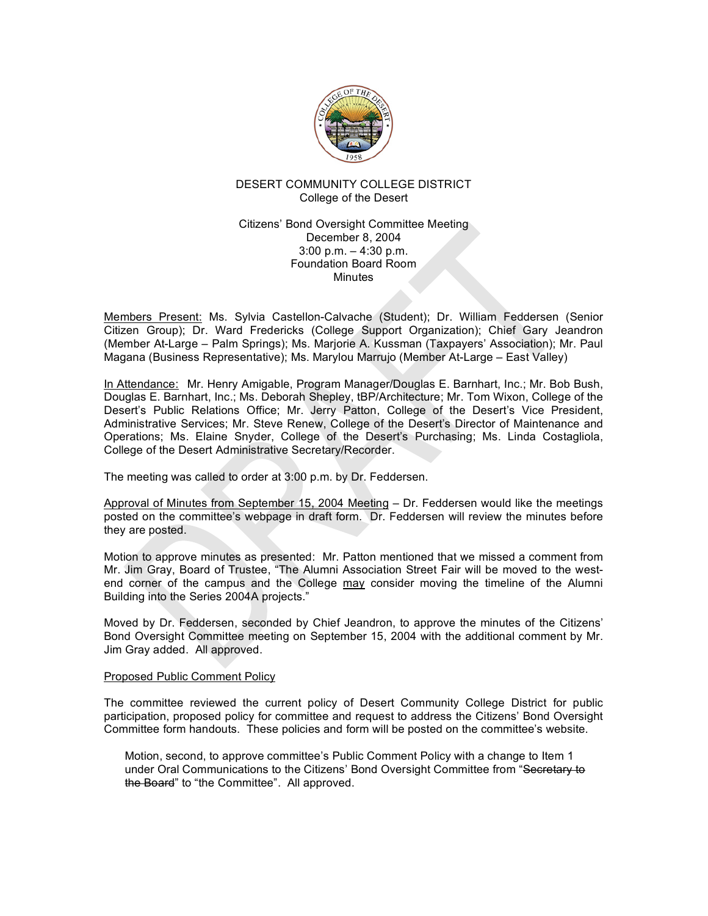

## DESERT COMMUNITY COLLEGE DISTRICT College of the Desert

### Citizens' Bond Oversight Committee Meeting December 8, 2004 3:00 p.m. – 4:30 p.m. Foundation Board Room Minutes

Members Present: Ms. Sylvia Castellon-Calvache (Student); Dr. William Feddersen (Senior Citizen Group); Dr. Ward Fredericks (College Support Organization); Chief Gary Jeandron (Member At-Large – Palm Springs); Ms. Marjorie A. Kussman (Taxpayers' Association); Mr. Paul Magana (Business Representative); Ms. Marylou Marrujo (Member At-Large – East Valley)

In Attendance: Mr. Henry Amigable, Program Manager/Douglas E. Barnhart, Inc.; Mr. Bob Bush, Douglas E. Barnhart, Inc.; Ms. Deborah Shepley, tBP/Architecture; Mr. Tom Wixon, College of the Desert's Public Relations Office; Mr. Jerry Patton, College of the Desert's Vice President, Administrative Services; Mr. Steve Renew, College of the Desert's Director of Maintenance and Operations; Ms. Elaine Snyder, College of the Desert's Purchasing; Ms. Linda Costagliola, College of the Desert Administrative Secretary/Recorder.

The meeting was called to order at 3:00 p.m. by Dr. Feddersen.

Approval of Minutes from September 15, 2004 Meeting – Dr. Feddersen would like the meetings posted on the committee's webpage in draft form. Dr. Feddersen will review the minutes before they are posted.

Motion to approve minutes as presented: Mr. Patton mentioned that we missed a comment from Mr. Jim Gray, Board of Trustee, "The Alumni Association Street Fair will be moved to the westend corner of the campus and the College may consider moving the timeline of the Alumni Building into the Series 2004A projects."

Moved by Dr. Feddersen, seconded by Chief Jeandron, to approve the minutes of the Citizens' Bond Oversight Committee meeting on September 15, 2004 with the additional comment by Mr. Jim Gray added. All approved.

#### Proposed Public Comment Policy

The committee reviewed the current policy of Desert Community College District for public participation, proposed policy for committee and request to address the Citizens' Bond Oversight Committee form handouts. These policies and form will be posted on the committee's website.

Motion, second, to approve committee's Public Comment Policy with a change to Item 1 under Oral Communications to the Citizens' Bond Oversight Committee from "Secretary to the Board" to "the Committee". All approved.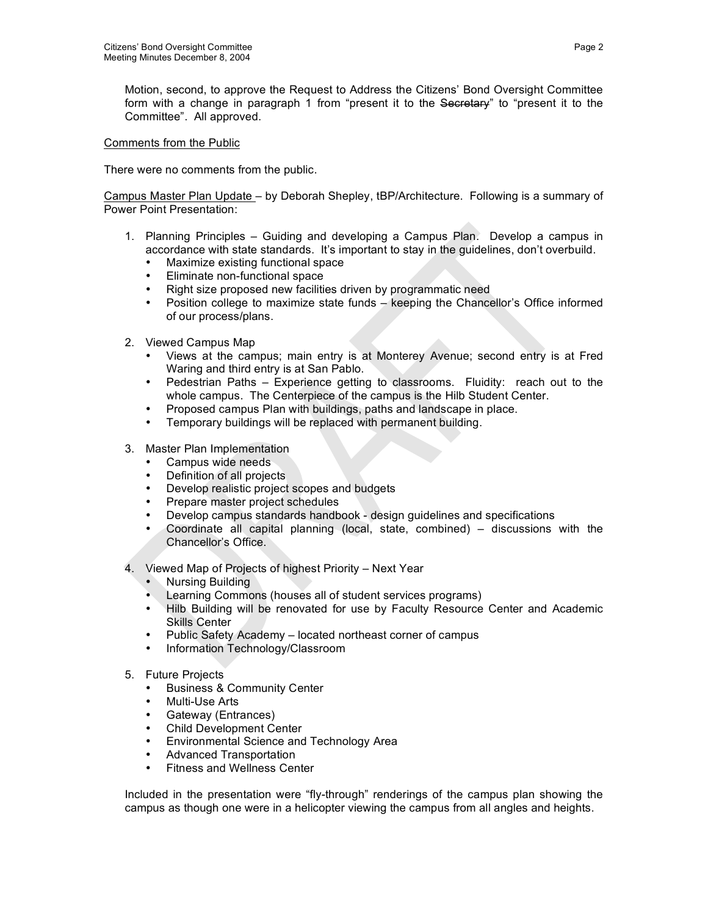Motion, second, to approve the Request to Address the Citizens' Bond Oversight Committee form with a change in paragraph 1 from "present it to the Secretary" to "present it to the Committee". All approved.

### Comments from the Public

There were no comments from the public.

Campus Master Plan Update – by Deborah Shepley, tBP/Architecture. Following is a summary of Power Point Presentation:

- 1. Planning Principles Guiding and developing a Campus Plan. Develop a campus in accordance with state standards. It's important to stay in the guidelines, don't overbuild.
	- Maximize existing functional space
	- Eliminate non-functional space
	- Right size proposed new facilities driven by programmatic need
	- Position college to maximize state funds keeping the Chancellor's Office informed of our process/plans.
- 2. Viewed Campus Map
	- Views at the campus; main entry is at Monterey Avenue; second entry is at Fred Waring and third entry is at San Pablo.
	- Pedestrian Paths Experience getting to classrooms. Fluidity: reach out to the whole campus. The Centerpiece of the campus is the Hilb Student Center.
	- Proposed campus Plan with buildings, paths and landscape in place.
	- Temporary buildings will be replaced with permanent building.
- 3. Master Plan Implementation
	- Campus wide needs
	- Definition of all projects
	- Develop realistic project scopes and budgets
	- Prepare master project schedules
	- Develop campus standards handbook design guidelines and specifications
	- Coordinate all capital planning (local, state, combined) discussions with the Chancellor's Office.
- 4. Viewed Map of Projects of highest Priority Next Year
	- Nursing Building
	- Learning Commons (houses all of student services programs)
	- Hilb Building will be renovated for use by Faculty Resource Center and Academic Skills Center
	- Public Safety Academy located northeast corner of campus
	- Information Technology/Classroom
- 5. Future Projects
	- Business & Community Center
	- Multi-Use Arts
	- Gateway (Entrances)
	- Child Development Center<br>• Fovironmental Science and
	- Environmental Science and Technology Area
	- Advanced Transportation
	- Fitness and Wellness Center

Included in the presentation were "fly-through" renderings of the campus plan showing the campus as though one were in a helicopter viewing the campus from all angles and heights.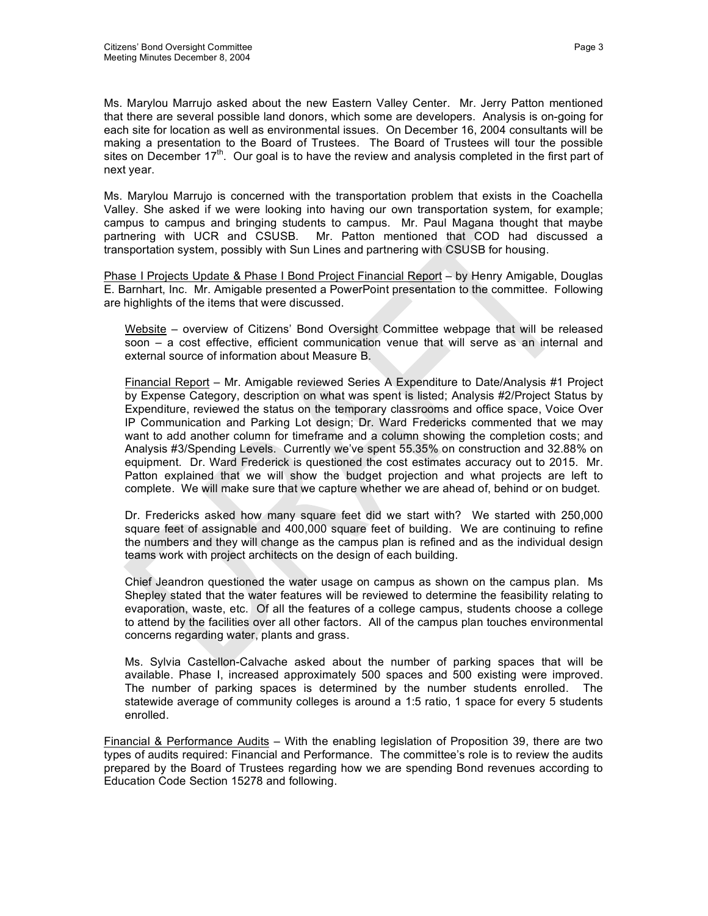Ms. Marylou Marrujo asked about the new Eastern Valley Center. Mr. Jerry Patton mentioned that there are several possible land donors, which some are developers. Analysis is on-going for each site for location as well as environmental issues. On December 16, 2004 consultants will be making a presentation to the Board of Trustees. The Board of Trustees will tour the possible sites on December 17<sup>th</sup>. Our goal is to have the review and analysis completed in the first part of next year.

Ms. Marylou Marrujo is concerned with the transportation problem that exists in the Coachella Valley. She asked if we were looking into having our own transportation system, for example; campus to campus and bringing students to campus. Mr. Paul Magana thought that maybe partnering with UCR and CSUSB. Mr. Patton mentioned that COD had discussed a transportation system, possibly with Sun Lines and partnering with CSUSB for housing.

Phase I Projects Update & Phase I Bond Project Financial Report – by Henry Amigable, Douglas E. Barnhart, Inc. Mr. Amigable presented a PowerPoint presentation to the committee. Following are highlights of the items that were discussed.

Website – overview of Citizens' Bond Oversight Committee webpage that will be released soon – a cost effective, efficient communication venue that will serve as an internal and external source of information about Measure B.

Financial Report – Mr. Amigable reviewed Series A Expenditure to Date/Analysis #1 Project by Expense Category, description on what was spent is listed; Analysis #2/Project Status by Expenditure, reviewed the status on the temporary classrooms and office space, Voice Over IP Communication and Parking Lot design; Dr. Ward Fredericks commented that we may want to add another column for timeframe and a column showing the completion costs; and Analysis #3/Spending Levels. Currently we've spent 55.35% on construction and 32.88% on equipment. Dr. Ward Frederick is questioned the cost estimates accuracy out to 2015. Mr. Patton explained that we will show the budget projection and what projects are left to complete. We will make sure that we capture whether we are ahead of, behind or on budget.

Dr. Fredericks asked how many square feet did we start with? We started with 250,000 square feet of assignable and 400,000 square feet of building. We are continuing to refine the numbers and they will change as the campus plan is refined and as the individual design teams work with project architects on the design of each building.

Chief Jeandron questioned the water usage on campus as shown on the campus plan. Ms Shepley stated that the water features will be reviewed to determine the feasibility relating to evaporation, waste, etc. Of all the features of a college campus, students choose a college to attend by the facilities over all other factors. All of the campus plan touches environmental concerns regarding water, plants and grass.

Ms. Sylvia Castellon-Calvache asked about the number of parking spaces that will be available. Phase I, increased approximately 500 spaces and 500 existing were improved. The number of parking spaces is determined by the number students enrolled. The statewide average of community colleges is around a 1:5 ratio, 1 space for every 5 students enrolled.

Financial & Performance Audits – With the enabling legislation of Proposition 39, there are two types of audits required: Financial and Performance. The committee's role is to review the audits prepared by the Board of Trustees regarding how we are spending Bond revenues according to Education Code Section 15278 and following.